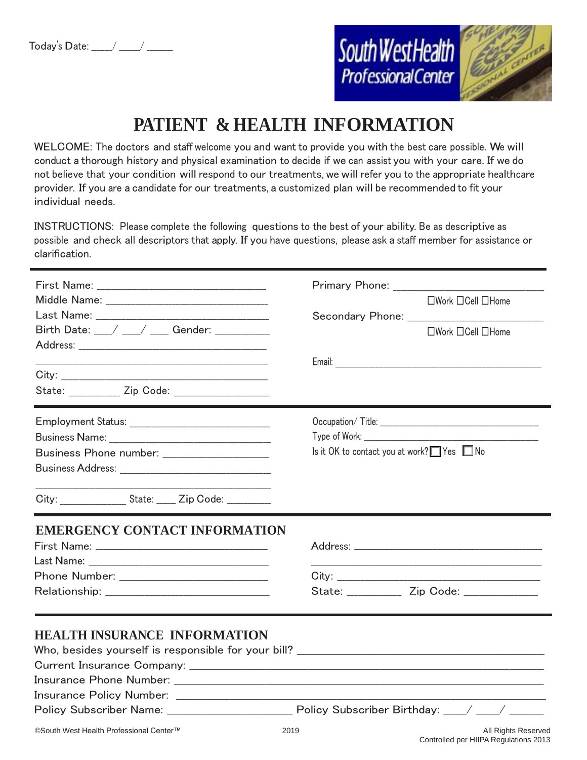

# **PATIENT & HEALTH INFORMATION**

WELCOME: The doctors and staff welcome you and want to provide you with the best care possible. We will conduct a thorough history and physical examination to decide if we can assist you with your care. If we do not believe that your condition will respond to our treatments, we will refer you to the appropriate healthcare provider. If you are a candidate for our treatments, a customized plan will be recommended to fit your individual needs.

INSTRUCTIONS: Please complete the following questions to the best of your ability. Be as descriptive as possible and check all descriptors that apply. If you have questions, please ask a staff member for assistance or clarification.

| First Name: Name: Name: Name: Name: Name: Name: Name: Name: Name: Name: Name: Name: Name: Name: Name: Name: Na<br>Birth Date: __/ __/ ___/ Gender: _________<br>State: <u>Zip Code:</u> 2000. | □Work □Cell □Home<br>$\Box$ Work $\Box$ Cell $\Box$ Home                                                                                                                                                                                                                               |
|-----------------------------------------------------------------------------------------------------------------------------------------------------------------------------------------------|----------------------------------------------------------------------------------------------------------------------------------------------------------------------------------------------------------------------------------------------------------------------------------------|
| Business Phone number: ______________________<br>City: _____________________ State: ______ Zip Code: ___________                                                                              | Occupation/Title: New York Street, New York Street, New York Street, New York Street, New York Street, New York Street, New York Street, New York Street, New York Street, New York Street, New York Street, New York Street,<br>Is it OK to contact you at work? $\Box$ Yes $\Box$ No |
| <b>EMERGENCY CONTACT INFORMATION</b>                                                                                                                                                          | State: ______________ Zip Code: _______________                                                                                                                                                                                                                                        |
| <b>HEALTH INSURANCE INFORMATION</b><br>©South West Health Professional Center™                                                                                                                | 2019<br>All Rights Reserved                                                                                                                                                                                                                                                            |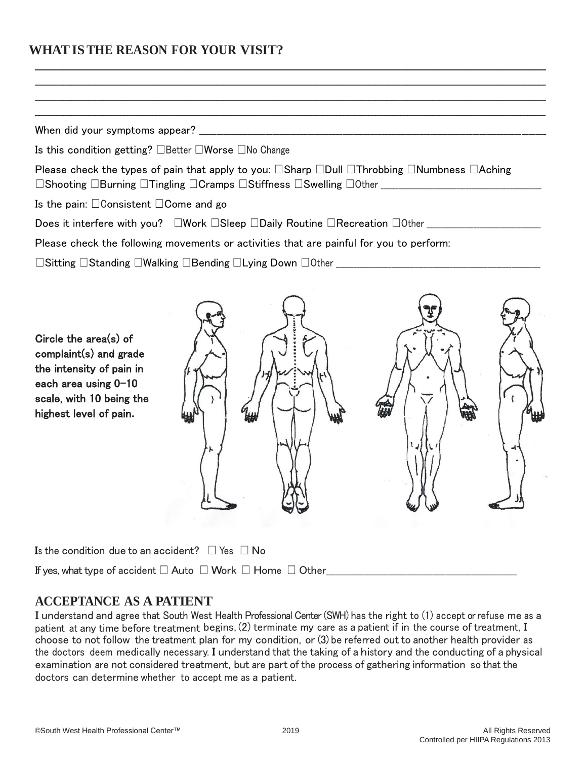## **WHATISTHE REASON FOR YOUR VISIT?**

When did your symptoms appear?  $\Box$ 

Is this condition getting? ☐Better ☐Worse ☐No Change

Please check the types of pain that apply to you: <del>□Sharp □Dull □Throbbing □Numbness □Aching</del> ☐Shooting ☐Burning ☐Tingling ☐Cramps ☐Stiffness ☐Swelling ☐Other \_\_\_\_\_\_\_\_\_\_\_\_\_\_\_\_\_\_\_\_\_\_\_\_\_\_\_\_\_\_\_\_\_\_\_\_\_\_\_\_\_\_\_\_\_\_\_\_\_\_\_\_\_\_\_

\_\_\_\_\_\_\_\_\_\_\_\_\_\_\_\_\_\_\_\_\_\_\_\_\_\_\_\_\_\_\_\_\_\_\_\_\_\_\_\_\_\_\_\_\_\_\_\_\_\_\_\_\_\_\_\_\_\_\_\_\_\_\_\_\_\_\_\_\_\_\_\_\_\_\_\_\_\_\_\_\_\_\_\_\_\_\_\_\_\_\_\_\_\_\_\_\_\_\_\_\_\_\_\_\_\_\_\_\_\_\_\_\_\_\_\_\_\_\_\_\_\_\_\_\_\_\_\_\_\_\_\_\_\_\_\_\_\_\_\_\_\_\_\_ \_\_\_\_\_\_\_\_\_\_\_\_\_\_\_\_\_\_\_\_\_\_\_\_\_\_\_\_\_\_\_\_\_\_\_\_\_\_\_\_\_\_\_\_\_\_\_\_\_\_\_\_\_\_\_\_\_\_\_\_\_\_\_\_\_\_\_\_\_\_\_\_\_\_\_\_\_\_\_\_\_\_\_\_\_\_\_\_\_\_\_\_\_\_\_\_\_\_\_\_\_\_\_\_\_\_\_\_\_\_\_\_\_\_\_\_\_\_\_\_\_\_\_\_\_\_\_\_\_\_\_\_\_\_\_\_\_\_\_\_\_\_\_\_ \_\_\_\_\_\_\_\_\_\_\_\_\_\_\_\_\_\_\_\_\_\_\_\_\_\_\_\_\_\_\_\_\_\_\_\_\_\_\_\_\_\_\_\_\_\_\_\_\_\_\_\_\_\_\_\_\_\_\_\_\_\_\_\_\_\_\_\_\_\_\_\_\_\_\_\_\_\_\_\_\_\_\_\_\_\_\_\_\_\_\_\_\_\_\_\_\_\_\_\_\_\_\_\_\_\_\_\_\_\_\_\_\_\_\_\_\_\_\_\_\_\_\_\_\_\_\_\_\_\_\_\_\_\_\_\_\_\_\_\_\_\_\_\_ \_\_\_\_\_\_\_\_\_\_\_\_\_\_\_\_\_\_\_\_\_\_\_\_\_\_\_\_\_\_\_\_\_\_\_\_\_\_\_\_\_\_\_\_\_\_\_\_\_\_\_\_\_\_\_\_\_\_\_\_\_\_\_\_\_\_\_\_\_\_\_\_\_\_\_\_\_\_\_\_\_\_\_\_\_\_\_\_\_\_\_\_\_\_\_\_\_\_\_\_\_\_\_\_\_\_\_\_\_\_\_\_\_\_\_\_\_\_\_\_\_\_\_\_\_\_\_\_\_\_\_\_\_\_\_\_\_\_\_\_\_\_\_\_

Is the pain: ☐Consistent ☐Come and go

Does it interfere with you? ධWork □Sleep □Daily Routine □Recreation □Other \_\_\_\_\_\_\_\_\_\_\_\_\_\_\_\_\_\_\_\_\_\_\_\_\_\_\_\_\_\_\_\_\_\_

Please check the following movements or activities that are painful for you to perform:

☐Sitting ☐Standing ☐Walking ☐Bending ☐Lying Down ☐Other \_\_\_\_\_\_\_\_\_\_\_\_\_\_\_\_\_\_\_\_\_\_\_\_\_\_\_\_\_\_\_\_\_\_\_\_\_\_\_\_\_\_\_\_\_\_\_\_\_\_\_\_\_\_\_\_\_\_\_\_\_\_\_\_\_\_\_\_\_\_

Circle the area(s) of complaint(s) and grade the intensity of pain in each area using  $0-10$ scale, with 10 being the highest level of pain**.**



Is the condition due to an accident?  $\Box$  Yes  $\Box$  No

If yes, what type of accident ☐ Auto ☐ Work ☐ Home ☐ Other\_\_\_\_\_\_\_\_\_\_\_\_\_\_\_\_\_\_\_\_\_\_\_\_\_\_\_\_\_\_\_\_\_\_\_\_\_\_\_\_\_\_\_\_\_\_\_\_\_\_\_\_\_\_\_\_\_\_\_

## **ACCEPTANCE AS A PATIENT**

I understand and agree that South West Health Professional Center (SWH) has the right to (1) accept or refuse me as a patient at any time before treatment begins, (2) terminate my care as a patient if in the course of treatment, I choose to not follow the treatment plan for my condition, or (3) be referred out to another health provider as the doctors deem medically necessary. I understand that the taking of a history and the conducting of a physical examination are not considered treatment, but are part of the process of gathering information so that the doctors can determine whether to accept me as a patient.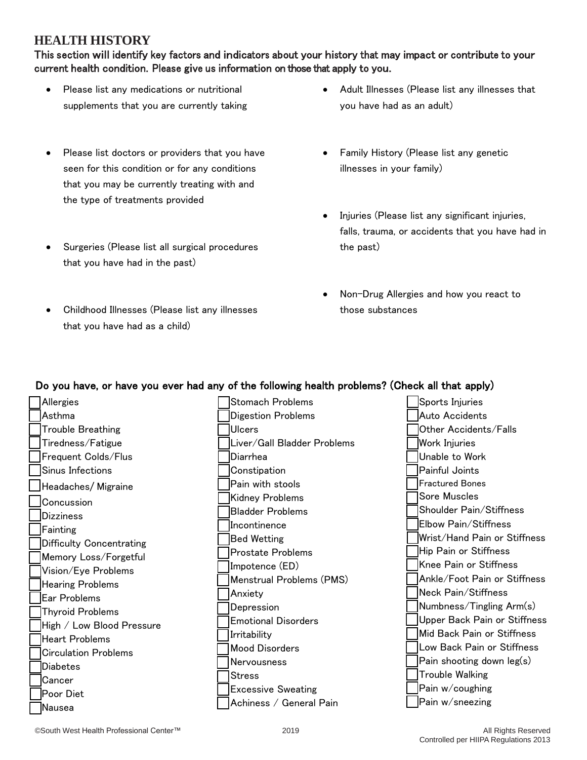## **HEALTH HISTORY**

This section will identify key factors and indicators about your history that may impact or contribute to your current health condition. Please give us information on those that apply to you.

- Please list any medications or nutritional supplements that you are currently taking
- Please list doctors or providers that you have seen for this condition or for any conditions that you may be currently treating with and the type of treatments provided
- Surgeries (Please list all surgical procedures that you have had in the past)
- Childhood Illnesses (Please list any illnesses that you have had as a child)
- Adult Illnesses (Please list any illnesses that you have had as an adult)
- Family History (Please list any genetic illnesses in your family)
- Injuries (Please list any significant injuries, falls, trauma, or accidents that you have had in the past)
- Non-Drug Allergies and how you react to those substances

### Do you have, or have you ever had any of the following health problems? (Check all that apply)

| Allergies                   | <b>Stomach Problems</b>     | Sports Injuries              |
|-----------------------------|-----------------------------|------------------------------|
| Asthma                      | <b>Digestion Problems</b>   | Auto Accidents               |
| <b>Trouble Breathing</b>    | Ulcers                      | Other Accidents/Falls        |
| Tiredness/Fatigue           | Liver/Gall Bladder Problems | <b>Work Injuries</b>         |
| Frequent Colds/Flus         | Diarrhea                    | Unable to Work               |
| Sinus Infections            | Constipation                | Painful Joints               |
| Headaches/Migraine          | Pain with stools            | <b>Fractured Bones</b>       |
| Concussion                  | <b>Kidney Problems</b>      | Sore Muscles                 |
| <b>Dizziness</b>            | <b>Bladder Problems</b>     | Shoulder Pain/Stiffness      |
| Fainting                    | Incontinence                | Elbow Pain/Stiffness         |
| Difficulty Concentrating    | <b>Bed Wetting</b>          | Wrist/Hand Pain or Stiffness |
| Memory Loss/Forgetful       | <b>Prostate Problems</b>    | Hip Pain or Stiffness        |
| Vision/Eye Problems         | Impotence (ED)              | Knee Pain or Stiffness       |
| <b>Hearing Problems</b>     | Menstrual Problems (PMS)    | Ankle/Foot Pain or Stiffness |
| <b>Ear Problems</b>         | Anxiety                     | Neck Pain/Stiffness          |
| <b>Thyroid Problems</b>     | Depression                  | Numbness/Tingling Arm(s)     |
| High / Low Blood Pressure   | <b>Emotional Disorders</b>  | Upper Back Pain or Stiffness |
| <b>Heart Problems</b>       | Irritability                | Mid Back Pain or Stiffness   |
| <b>Circulation Problems</b> | <b>Mood Disorders</b>       | Low Back Pain or Stiffness   |
| <b>Diabetes</b>             | Nervousness                 | Pain shooting down leg(s)    |
| Cancer                      | <b>Stress</b>               | <b>Trouble Walking</b>       |
| Poor Diet                   | <b>Excessive Sweating</b>   | Pain w/coughing              |
| Nausea                      | Achiness / General Pain     | Pain w/sneezing              |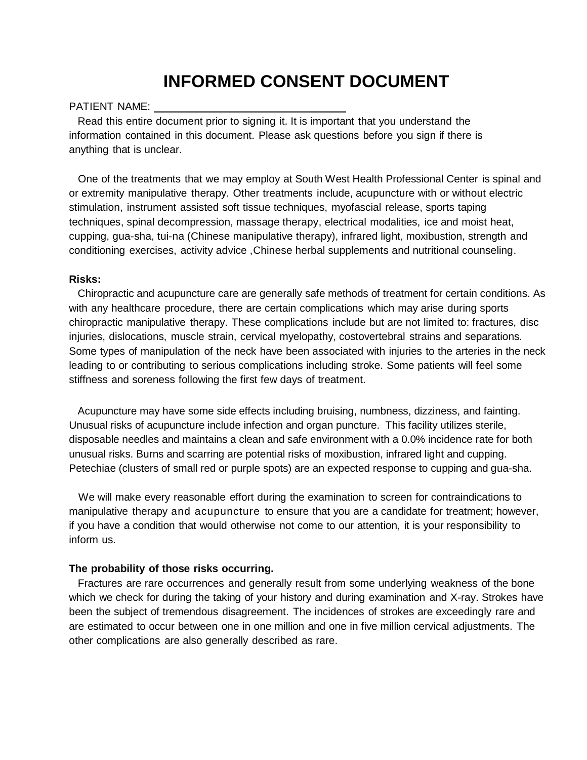# **INFORMED CONSENT DOCUMENT**

#### PATIENT NAME:

 Read this entire document prior to signing it. It is important that you understand the information contained in this document. Please ask questions before you sign if there is anything that is unclear.

 One of the treatments that we may employ at South West Health Professional Center is spinal and or extremity manipulative therapy. Other treatments include, acupuncture with or without electric stimulation, instrument assisted soft tissue techniques, myofascial release, sports taping techniques, spinal decompression, massage therapy, electrical modalities, ice and moist heat, cupping, gua-sha, tui-na (Chinese manipulative therapy), infrared light, moxibustion, strength and conditioning exercises, activity advice ,Chinese herbal supplements and nutritional counseling.

#### **Risks:**

 Chiropractic and acupuncture care are generally safe methods of treatment for certain conditions. As with any healthcare procedure, there are certain complications which may arise during sports chiropractic manipulative therapy. These complications include but are not limited to: fractures, disc injuries, dislocations, muscle strain, cervical myelopathy, costovertebral strains and separations. Some types of manipulation of the neck have been associated with injuries to the arteries in the neck leading to or contributing to serious complications including stroke. Some patients will feel some stiffness and soreness following the first few days of treatment.

 Acupuncture may have some side effects including bruising, numbness, dizziness, and fainting. Unusual risks of acupuncture include infection and organ puncture. This facility utilizes sterile, disposable needles and maintains a clean and safe environment with a 0.0% incidence rate for both unusual risks. Burns and scarring are potential risks of moxibustion, infrared light and cupping. Petechiae (clusters of small red or purple spots) are an expected response to cupping and gua-sha.

 We will make every reasonable effort during the examination to screen for contraindications to manipulative therapy and acupuncture to ensure that you are a candidate for treatment; however, if you have a condition that would otherwise not come to our attention, it is your responsibility to inform us.

#### **The probability of those risks occurring.**

 Fractures are rare occurrences and generally result from some underlying weakness of the bone which we check for during the taking of your history and during examination and X-ray. Strokes have been the subject of tremendous disagreement. The incidences of strokes are exceedingly rare and are estimated to occur between one in one million and one in five million cervical adjustments. The other complications are also generally described as rare.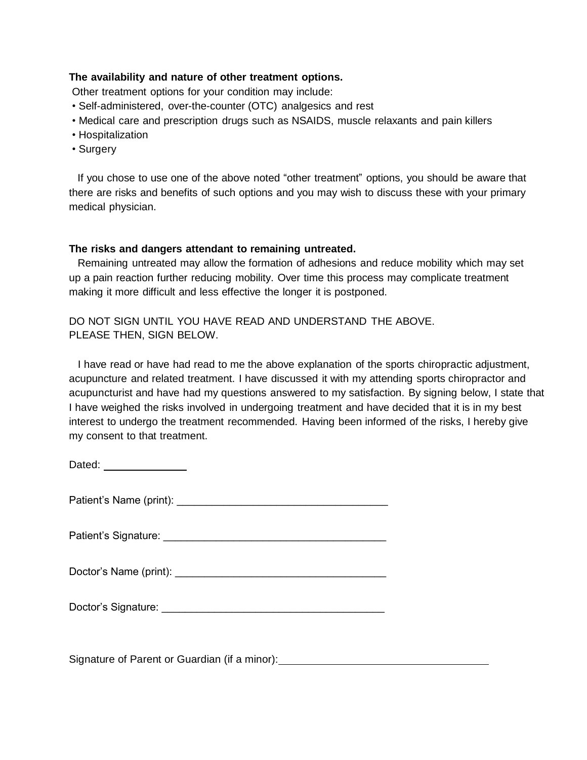#### **The availability and nature of other treatment options.**

Other treatment options for your condition may include:

- Self-administered, over-the-counter (OTC) analgesics and rest
- Medical care and prescription drugs such as NSAIDS, muscle relaxants and pain killers
- Hospitalization
- Surgery

 If you chose to use one of the above noted "other treatment" options, you should be aware that there are risks and benefits of such options and you may wish to discuss these with your primary medical physician.

#### **The risks and dangers attendant to remaining untreated.**

 Remaining untreated may allow the formation of adhesions and reduce mobility which may set up a pain reaction further reducing mobility. Over time this process may complicate treatment making it more difficult and less effective the longer it is postponed.

DO NOT SIGN UNTIL YOU HAVE READ AND UNDERSTAND THE ABOVE. PLEASE THEN, SIGN BELOW.

 I have read or have had read to me the above explanation of the sports chiropractic adjustment, acupuncture and related treatment. I have discussed it with my attending sports chiropractor and acupuncturist and have had my questions answered to my satisfaction. By signing below, I state that I have weighed the risks involved in undergoing treatment and have decided that it is in my best interest to undergo the treatment recommended. Having been informed of the risks, I hereby give my consent to that treatment.

Dated: \_\_\_\_\_\_\_\_\_\_\_\_\_\_

Patient's Name (print): \_\_\_\_\_\_\_\_\_\_\_\_\_\_\_\_\_\_\_\_\_\_\_\_\_\_\_\_\_\_\_\_\_\_\_\_

Patient's Signature: \_\_\_\_\_\_\_\_\_\_\_\_\_\_\_\_\_\_\_\_\_\_\_\_\_\_\_\_\_\_\_\_\_\_\_\_\_\_

Doctor's Name (print):  $\Box$ 

Doctor's Signature: \_\_\_\_\_\_\_\_\_\_\_\_\_\_\_\_\_\_\_\_\_\_\_\_\_\_\_\_\_\_\_\_\_\_\_\_\_\_

Signature of Parent or Guardian (if a minor): Signature of Parent or Guardian (if a minor):